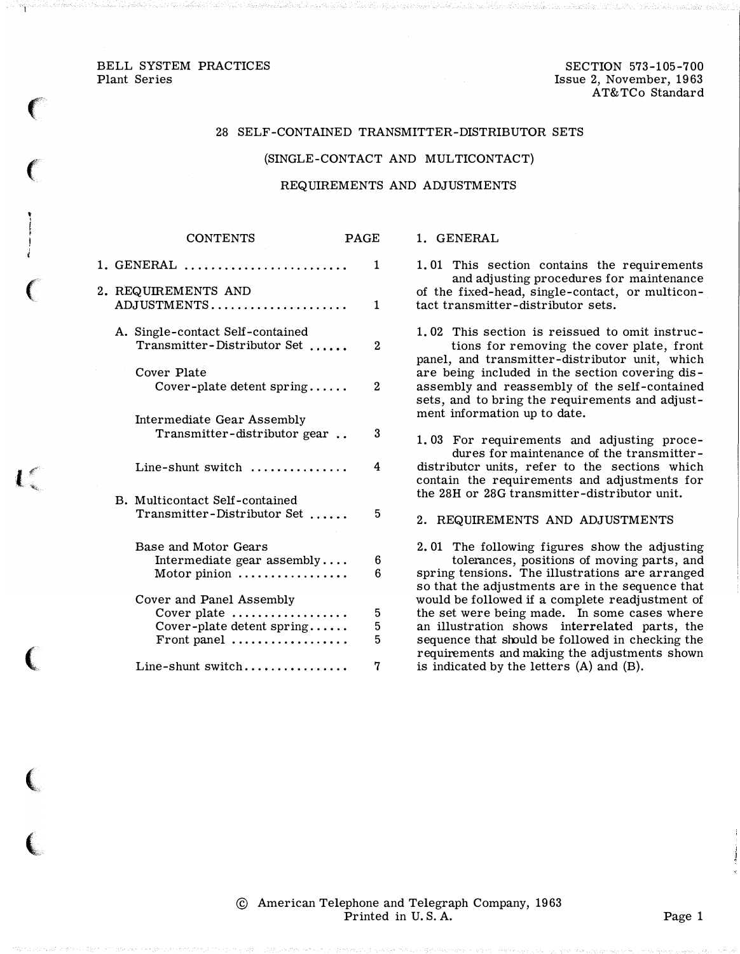## BELL SYSTEM PRACTICES Plant Series

 $\big($ 

 $\left($ 

 $\big($ 

 $\mathbf{l}$ 

(

 $\big($ 

(

SECTION 573-105-700 Issue 2, November, 1963 AT&TCo Standard

#### 28 SELF-CONTAINED TRANSMITTER-DISTRIBUTOR SETS

#### (SINGLE-CONTACT AND MULTICONTACT)

### REQUIREMENTS AND ADJUSTMENTS

|                                    | <b>CONTENTS</b>                                                                     | <b>PAGE</b> |
|------------------------------------|-------------------------------------------------------------------------------------|-------------|
|                                    | 1. GENERAL                                                                          | 1           |
| 2. REQUIREMENTS AND<br>ADJUSTMENTS |                                                                                     | 1           |
|                                    | A. Single-contact Self-contained<br>Transmitter-Distributor Set                     | 2           |
|                                    | Cover Plate<br>Cover-plate detent spring                                            | 2           |
|                                    | <b>Intermediate Gear Assembly</b><br>Transmitter-distributor gear                   | 3           |
|                                    | Line-shunt switch $\ldots$ ,,,,,,,,,,,,,                                            | 4           |
|                                    | B. Multicontact Self-contained<br>Transmitter-Distributor Set                       | 5           |
|                                    | Base and Motor Gears<br>Intermediate gear assembly<br>Motor pinion                  | 6<br>6      |
|                                    | Cover and Panel Assembly<br>Cover plate<br>Cover-plate detent spring<br>Front panel | 5<br>5<br>5 |
|                                    | Line-shunt switch                                                                   | 7           |

#### 1. GENERAL

1. 01 This section contains the requirements and adjusting procedures for maintenance of the fixed-head, single-contact, or multicontact transmitter-distributor sets.

1. 02 This section is reissued to omit instructions for removing the cover plate, front panel, and transmitter-distributor unit, which are being included in the section covering disassembly and reassembly of the self-contained sets, and to bring the requirements and adjustment information up to date.

1. 03 For requirements and adjusting procedures for maintenance of the transmitterdistributor units, refer to the sections which contain the requirements and adjustments for the 28H or 28G transmitter-distributor unit.

## 2. REQUIREMENTS AND ADJUSTMENTS

2. 01 The following figures show the adjusting tolerances, positions of moving parts, and spring tensions. The illustrations are arranged so that the adjustments are in the sequence that would be followed if a complete readjustment of the set were being made. In some cases where an illustration shows interrelated parts, the sequence that should be followed in checking the requirements and making the adjustments shown is indicated by the letters (A) and (B).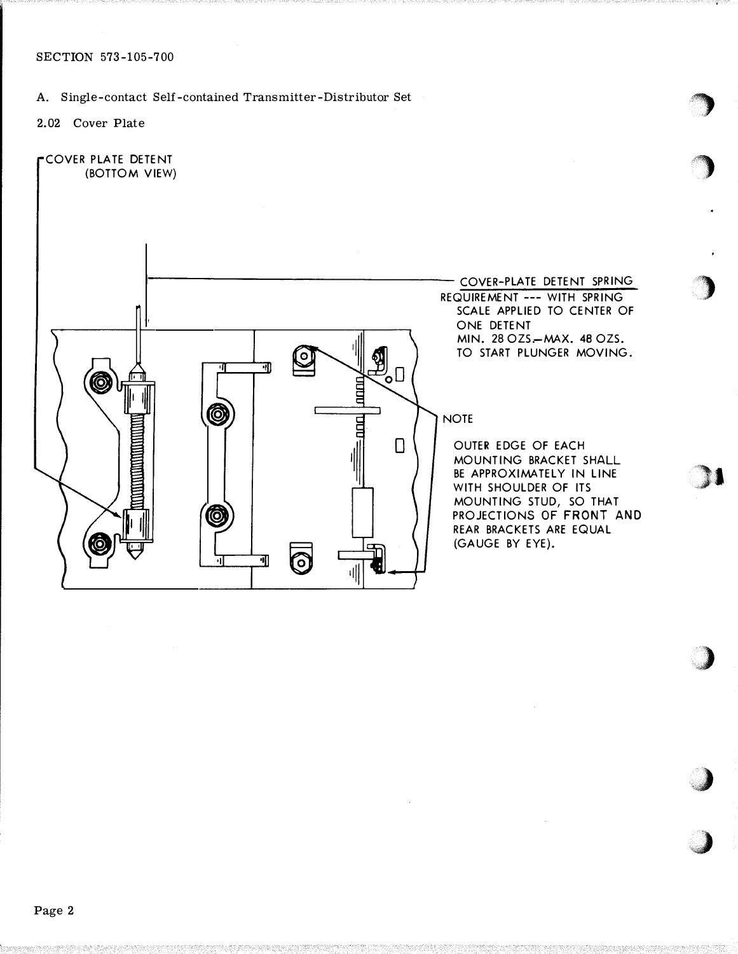## SECTION 573-105-700

# A. Single-contact Self-contained Transmitter-Distributor Set

2.02 Cover Plate



 $\rightarrow$ 

**)** 

7)

1

 $\,$ 

;,�

;,,,)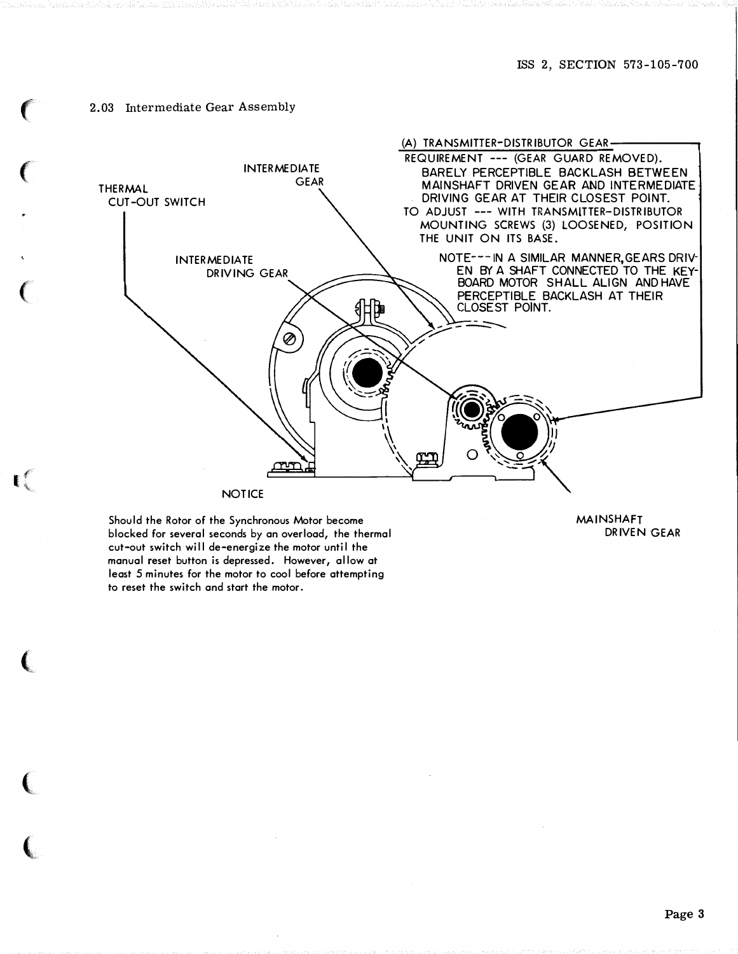### 2.03 Intermediate Gear Assembly



Should the Rotor of the Synchronous Motor become blocked for several seconds by an overload, the thermal cut-out switch will de-energize the motor until the manual reset button is depressed. However, allow at least 5 minutes for the motor to cool before attempting to reset the switch and start the motor.

and the state of the con-

 $\mathbf{R}^{\mathcal{L}}$ 

MAINSHAFT DRIVEN GEAR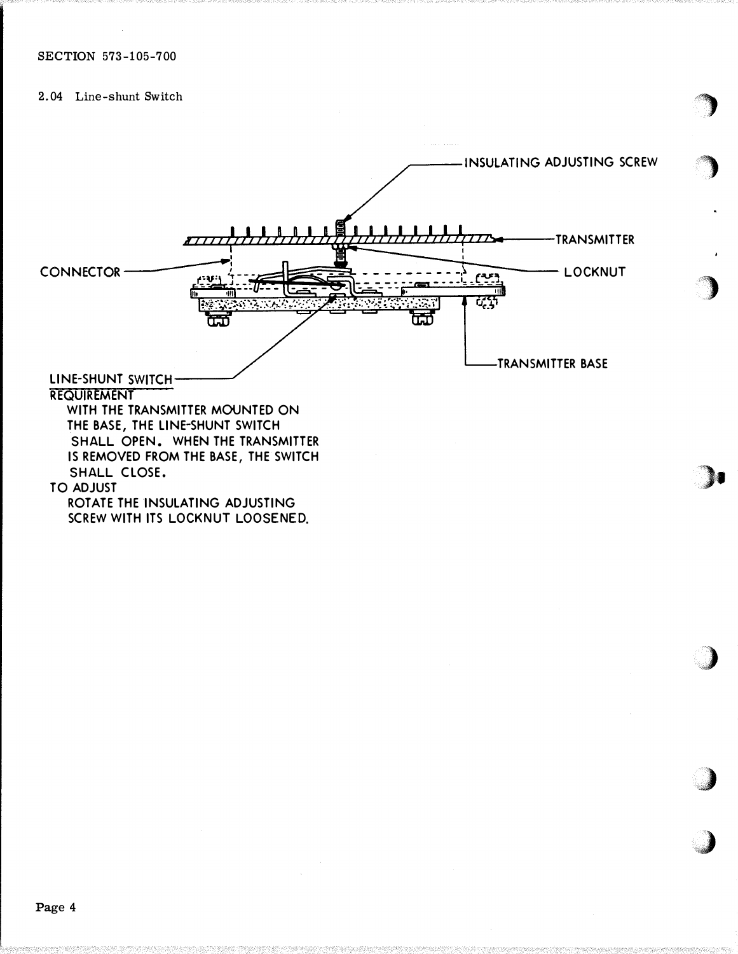2.04 Line-shunt Switch



)

 $\big)$ 

•')

�)·•

)

J

**)** 

Page 4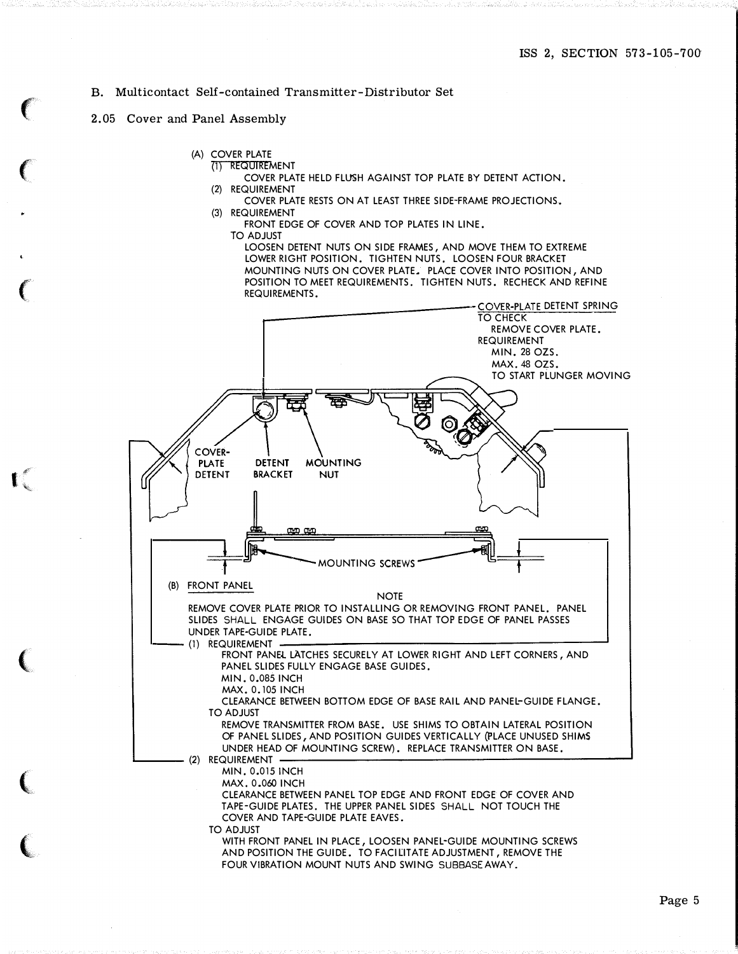## B. Multicontact Self-contained Transmitter-Distributor Set

### 2.05 Cover and Panel Assembly

 $\left($ 

 $\big($ 

 $\left($ 

I

(

(

(

- (A) COVER PLATE
	- (1) REQUIREMENT
	- COVER PLATE HELD FLUSH AGAINST TOP PLATE BY DETENT ACTION. (2) REQUIREMENT
	- COVER PLATE RESTS ON AT LEAST THREE SIDE-FRAME PROJECTIONS.
	- (3) REQUIREMENT
		- FRONT EDGE OF COVER AND TOP PLATES IN LINE.
		- TO ADJUST

LOOSEN DETENT NUTS ON SIDE FRAMES, AND MOVE THEM TO EXTREME LOWER RIGHT POSITION. TIGHTEN NUTS. LOOSEN FOUR BRACKET MOUNTING NUTS ON COVER PLATE. PLACE COVER INTO POSITION, AND POSITION TO MEET REQUIREMENTS. TIGHTEN NUTS. RECHECK AND REFINE REQUIREMENTS.



FOUR VIBRATION MOUNT NUTS AND SWING SUBBASE AWAY.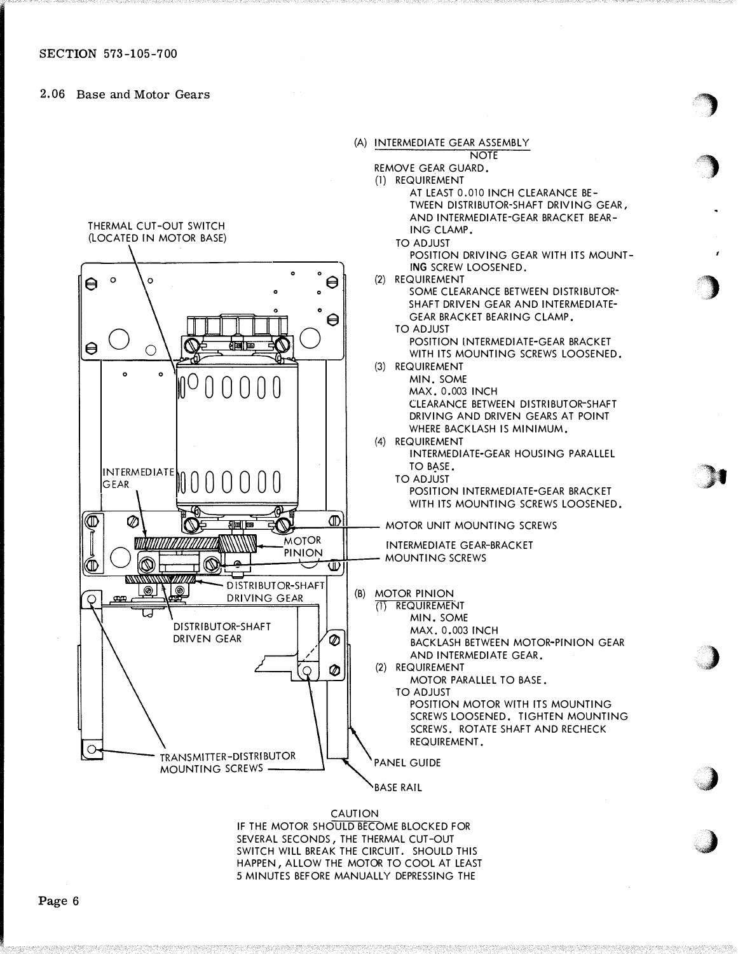2.06 Base and Motor Gears



'�

<sup>o</sup>

'')

 $\blacksquare$ ..

,)

i J

. . . **. . . . . . . . . . . . . . . Service** 

IF THE MOTOR SHOULD BECOME BLOCKED FOR SEVERAL SECONDS, THE THERMAL CUT -OUT SWITCH WILL BREAK THE CIRCUIT. SHOULD THIS HAPPEN, ALLOW THE MOTOR TO COOL AT LEAST 5 MINUTES BEFORE MANUALLY DEPRESSING THE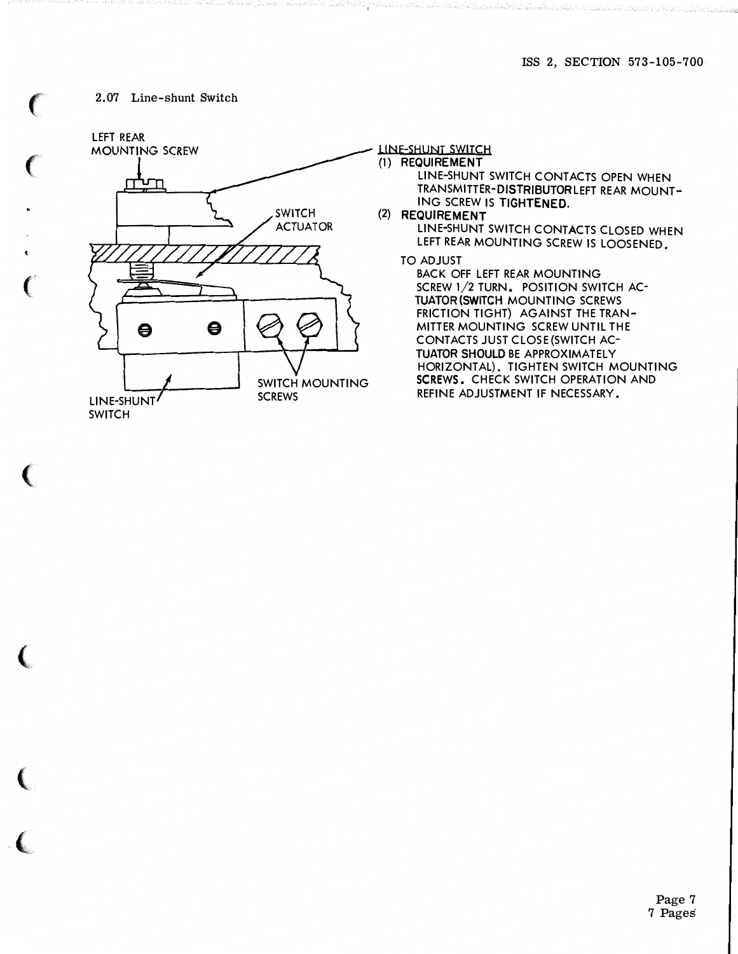Albumi, D. Mandar The Bank F

# 2.07 Line-shunt Switch

 $\sim$   $\sim$   $\sim$